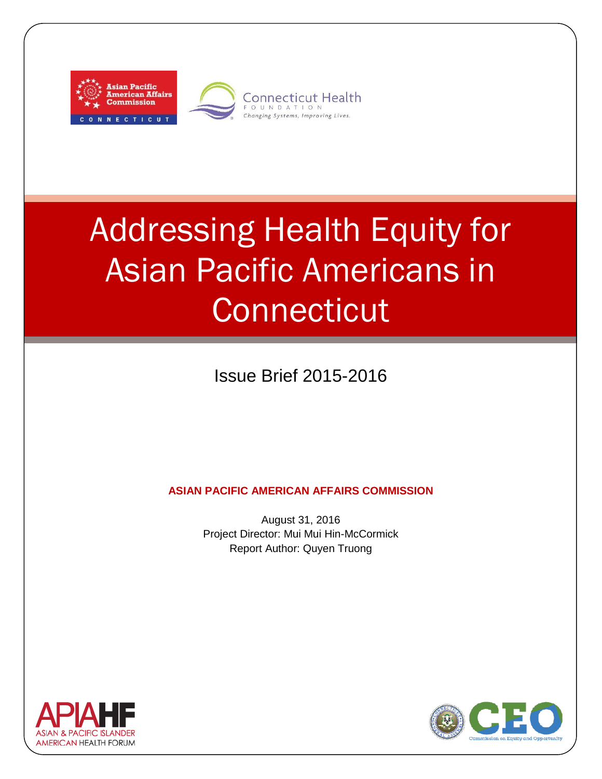



# Addressing Health Equity for Asian Pacific Americans in **Connecticut**

Issue Brief 2015-2016

**ASIAN PACIFIC AMERICAN AFFAIRS COMMISSION**

August 31, 2016 Project Director: Mui Mui Hin-McCormick Report Author: Quyen Truong



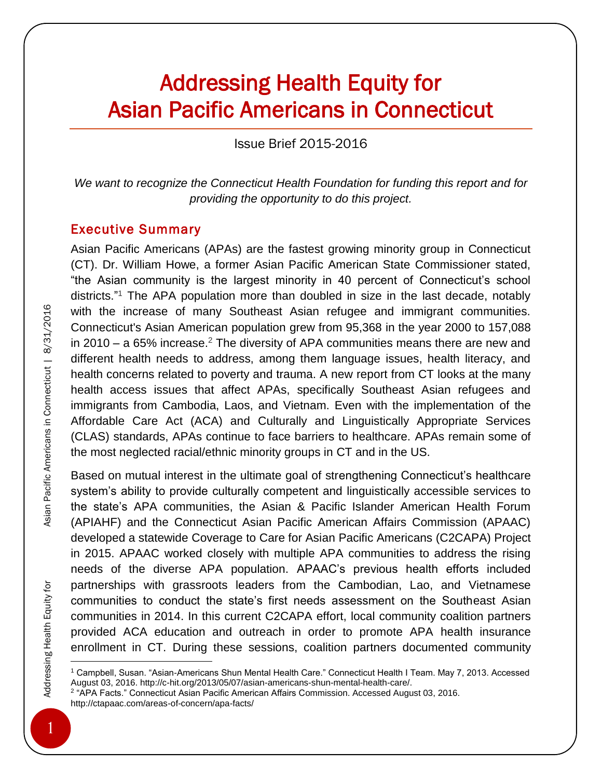# Addressing Health Equity for Asian Pacific Americans in Connecticut

Issue Brief 2015-2016

*We want to recognize the Connecticut Health Foundation for funding this report and for providing the opportunity to do this project.*

#### Executive Summary

Asian Pacific Americans (APAs) are the fastest growing minority group in Connecticut (CT). Dr. William Howe, a former Asian Pacific American State Commissioner stated, "the Asian community is the largest minority in 40 percent of Connecticut's school districts." <sup>1</sup> The APA population more than doubled in size in the last decade, notably with the increase of many Southeast Asian refugee and immigrant communities. Connecticut's Asian American population grew from 95,368 in the year 2000 to 157,088 in 2010 – a 65% increase.<sup>2</sup> The diversity of APA communities means there are new and different health needs to address, among them language issues, health literacy, and health concerns related to poverty and trauma. A new report from CT looks at the many health access issues that affect APAs, specifically Southeast Asian refugees and immigrants from Cambodia, Laos, and Vietnam. Even with the implementation of the Affordable Care Act (ACA) and Culturally and Linguistically Appropriate Services (CLAS) standards, APAs continue to face barriers to healthcare. APAs remain some of the most neglected racial/ethnic minority groups in CT and in the US.

Based on mutual interest in the ultimate goal of strengthening Connecticut's healthcare system's ability to provide culturally competent and linguistically accessible services to the state's APA communities, the Asian & Pacific Islander American Health Forum (APIAHF) and the Connecticut Asian Pacific American Affairs Commission (APAAC) developed a statewide Coverage to Care for Asian Pacific Americans (C2CAPA) Project in 2015. APAAC worked closely with multiple APA communities to address the rising needs of the diverse APA population. APAAC's previous health efforts included partnerships with grassroots leaders from the Cambodian, Lao, and Vietnamese communities to conduct the state's first needs assessment on the Southeast Asian communities in 2014. In this current C2CAPA effort, local community coalition partners provided ACA education and outreach in order to promote APA health insurance enrollment in CT. During these sessions, coalition partners documented community

 $\overline{a}$ 

<sup>1</sup> Campbell, Susan. "Asian-Americans Shun Mental Health Care." Connecticut Health I Team. May 7, 2013. Accessed August 03, 2016. http://c-hit.org/2013/05/07/asian-americans-shun-mental-health-care/.

<sup>&</sup>lt;sup>2</sup> "APA Facts." Connecticut Asian Pacific American Affairs Commission. Accessed August 03, 2016. http://ctapaac.com/areas-of-concern/apa-facts/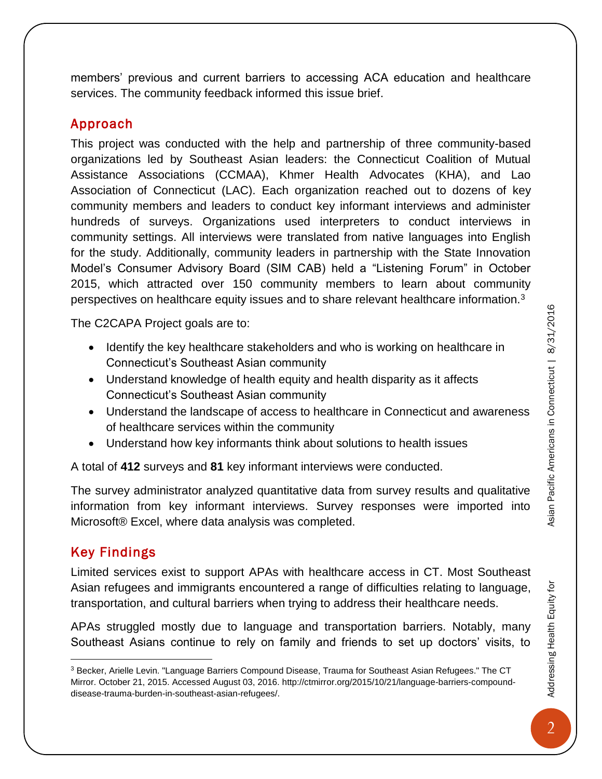members' previous and current barriers to accessing ACA education and healthcare services. The community feedback informed this issue brief.

# Approach

This project was conducted with the help and partnership of three community-based organizations led by Southeast Asian leaders: the Connecticut Coalition of Mutual Assistance Associations (CCMAA), Khmer Health Advocates (KHA), and Lao Association of Connecticut (LAC). Each organization reached out to dozens of key community members and leaders to conduct key informant interviews and administer hundreds of surveys. Organizations used interpreters to conduct interviews in community settings. All interviews were translated from native languages into English for the study. Additionally, community leaders in partnership with the State Innovation Model's Consumer Advisory Board (SIM CAB) held a "Listening Forum" in October 2015, which attracted over 150 community members to learn about community perspectives on healthcare equity issues and to share relevant healthcare information.<sup>3</sup>

The C2CAPA Project goals are to:

- Identify the key healthcare stakeholders and who is working on healthcare in Connecticut's Southeast Asian community
- Understand knowledge of health equity and health disparity as it affects Connecticut's Southeast Asian community
- Understand the landscape of access to healthcare in Connecticut and awareness of healthcare services within the community
- Understand how key informants think about solutions to health issues

A total of **412** surveys and **81** key informant interviews were conducted.

The survey administrator analyzed quantitative data from survey results and qualitative information from key informant interviews. Survey responses were imported into Microsoft® Excel, where data analysis was completed.

## Key Findings

 $\overline{a}$ 

Limited services exist to support APAs with healthcare access in CT. Most Southeast Asian refugees and immigrants encountered a range of difficulties relating to language, transportation, and cultural barriers when trying to address their healthcare needs.

APAs struggled mostly due to language and transportation barriers. Notably, many Southeast Asians continue to rely on family and friends to set up doctors' visits, to Addressing Health Equity for

<sup>3</sup> Becker, Arielle Levin. "Language Barriers Compound Disease, Trauma for Southeast Asian Refugees." The CT Mirror. October 21, 2015. Accessed August 03, 2016. http://ctmirror.org/2015/10/21/language-barriers-compounddisease-trauma-burden-in-southeast-asian-refugees/.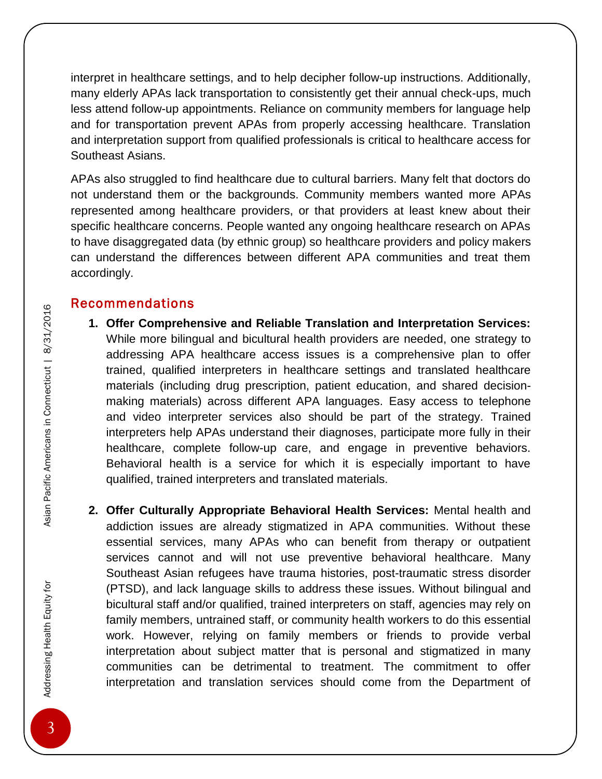interpret in healthcare settings, and to help decipher follow-up instructions. Additionally, many elderly APAs lack transportation to consistently get their annual check-ups, much less attend follow-up appointments. Reliance on community members for language help and for transportation prevent APAs from properly accessing healthcare. Translation and interpretation support from qualified professionals is critical to healthcare access for Southeast Asians.

APAs also struggled to find healthcare due to cultural barriers. Many felt that doctors do not understand them or the backgrounds. Community members wanted more APAs represented among healthcare providers, or that providers at least knew about their specific healthcare concerns. People wanted any ongoing healthcare research on APAs to have disaggregated data (by ethnic group) so healthcare providers and policy makers can understand the differences between different APA communities and treat them accordingly.

### Recommendations

- **1. Offer Comprehensive and Reliable Translation and Interpretation Services:** While more bilingual and bicultural health providers are needed, one strategy to addressing APA healthcare access issues is a comprehensive plan to offer trained, qualified interpreters in healthcare settings and translated healthcare materials (including drug prescription, patient education, and shared decisionmaking materials) across different APA languages. Easy access to telephone and video interpreter services also should be part of the strategy. Trained interpreters help APAs understand their diagnoses, participate more fully in their healthcare, complete follow-up care, and engage in preventive behaviors. Behavioral health is a service for which it is especially important to have qualified, trained interpreters and translated materials.
- **2. Offer Culturally Appropriate Behavioral Health Services:** Mental health and addiction issues are already stigmatized in APA communities. Without these essential services, many APAs who can benefit from therapy or outpatient services cannot and will not use preventive behavioral healthcare. Many Southeast Asian refugees have trauma histories, post-traumatic stress disorder (PTSD), and lack language skills to address these issues. Without bilingual and bicultural staff and/or qualified, trained interpreters on staff, agencies may rely on family members, untrained staff, or community health workers to do this essential work. However, relying on family members or friends to provide verbal interpretation about subject matter that is personal and stigmatized in many communities can be detrimental to treatment. The commitment to offer interpretation and translation services should come from the Department of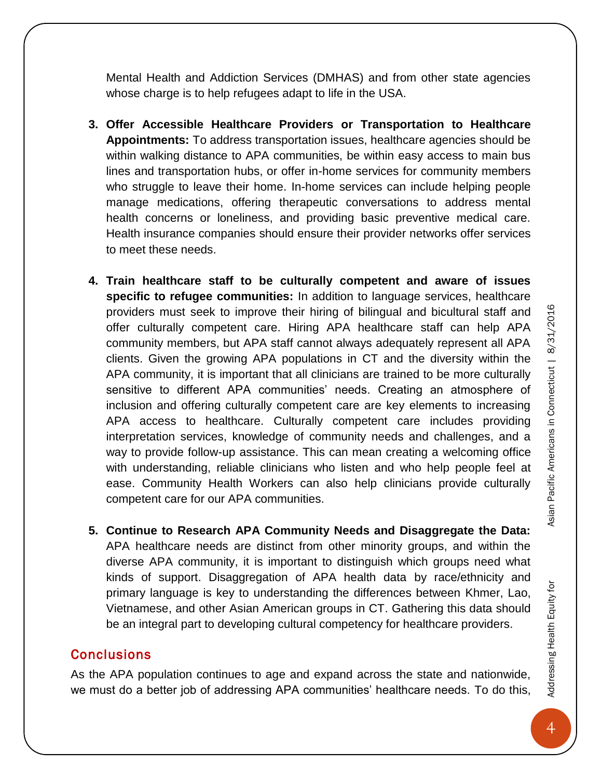Mental Health and Addiction Services (DMHAS) and from other state agencies whose charge is to help refugees adapt to life in the USA.

- **3. Offer Accessible Healthcare Providers or Transportation to Healthcare Appointments:** To address transportation issues, healthcare agencies should be within walking distance to APA communities, be within easy access to main bus lines and transportation hubs, or offer in-home services for community members who struggle to leave their home. In-home services can include helping people manage medications, offering therapeutic conversations to address mental health concerns or loneliness, and providing basic preventive medical care. Health insurance companies should ensure their provider networks offer services to meet these needs.
- **4. Train healthcare staff to be culturally competent and aware of issues specific to refugee communities:** In addition to language services, healthcare providers must seek to improve their hiring of bilingual and bicultural staff and offer culturally competent care. Hiring APA healthcare staff can help APA community members, but APA staff cannot always adequately represent all APA clients. Given the growing APA populations in CT and the diversity within the APA community, it is important that all clinicians are trained to be more culturally sensitive to different APA communities' needs. Creating an atmosphere of inclusion and offering culturally competent care are key elements to increasing APA access to healthcare. Culturally competent care includes providing interpretation services, knowledge of community needs and challenges, and a way to provide follow-up assistance. This can mean creating a welcoming office with understanding, reliable clinicians who listen and who help people feel at ease. Community Health Workers can also help clinicians provide culturally competent care for our APA communities.
- **5. Continue to Research APA Community Needs and Disaggregate the Data:**  APA healthcare needs are distinct from other minority groups, and within the diverse APA community, it is important to distinguish which groups need what kinds of support. Disaggregation of APA health data by race/ethnicity and primary language is key to understanding the differences between Khmer, Lao, Vietnamese, and other Asian American groups in CT. Gathering this data should be an integral part to developing cultural competency for healthcare providers.

#### **Conclusions**

As the APA population continues to age and expand across the state and nationwide, we must do a better job of addressing APA communities' healthcare needs. To do this, Addressing Health Equity for